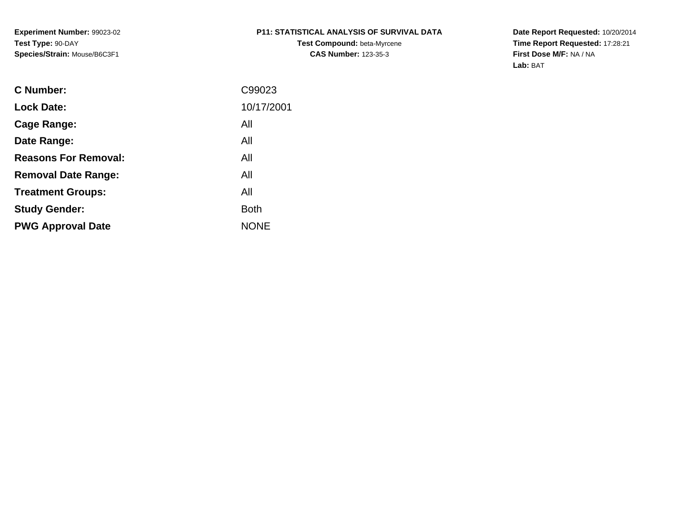**Experiment Number:** 99023-02**Test Type:** 90-DAY**Species/Strain:** Mouse/B6C3F1

# **P11: STATISTICAL ANALYSIS OF SURVIVAL DATA**

**Test Compound:** beta-Myrcene**CAS Number:** 123-35-3

**Date Report Requested:** 10/20/2014 **Time Report Requested:** 17:28:21**First Dose M/F:** NA / NA**Lab:** BAT

| <b>C</b> Number:            | C99023      |
|-----------------------------|-------------|
| <b>Lock Date:</b>           | 10/17/2001  |
| Cage Range:                 | All         |
| Date Range:                 | All         |
| <b>Reasons For Removal:</b> | All         |
| <b>Removal Date Range:</b>  | All         |
| <b>Treatment Groups:</b>    | All         |
| <b>Study Gender:</b>        | <b>Both</b> |
| <b>PWG Approval Date</b>    | <b>NONE</b> |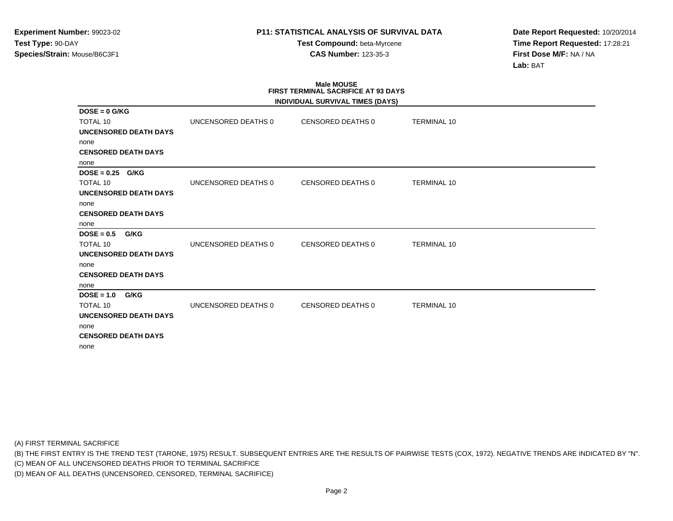**Test Compound:** beta-Myrcene**CAS Number:** 123-35-3

**Date Report Requested:** 10/20/2014**Time Report Requested:** 17:28:21**First Dose M/F:** NA / NA**Lab:** BAT

### **Male MOUSE FIRST TERMINAL SACRIFICE AT 93 DAYSINDIVIDUAL SURVIVAL TIMES (DAYS)**

|                              |                     | INDIVIDUAL SURVIVAL TIMES (DAYS) |                    |
|------------------------------|---------------------|----------------------------------|--------------------|
| $DOSE = 0$ G/KG              |                     |                                  |                    |
| <b>TOTAL 10</b>              | UNCENSORED DEATHS 0 | <b>CENSORED DEATHS 0</b>         | TERMINAL 10        |
| UNCENSORED DEATH DAYS        |                     |                                  |                    |
| none                         |                     |                                  |                    |
| <b>CENSORED DEATH DAYS</b>   |                     |                                  |                    |
| none                         |                     |                                  |                    |
| $DOSE = 0.25$ G/KG           |                     |                                  |                    |
| <b>TOTAL 10</b>              | UNCENSORED DEATHS 0 | CENSORED DEATHS 0                | <b>TERMINAL 10</b> |
| UNCENSORED DEATH DAYS        |                     |                                  |                    |
| none                         |                     |                                  |                    |
| <b>CENSORED DEATH DAYS</b>   |                     |                                  |                    |
| none                         |                     |                                  |                    |
| $DOSE = 0.5$<br>G/KG         |                     |                                  |                    |
| <b>TOTAL 10</b>              | UNCENSORED DEATHS 0 | CENSORED DEATHS 0                | <b>TERMINAL 10</b> |
| UNCENSORED DEATH DAYS        |                     |                                  |                    |
| none                         |                     |                                  |                    |
| <b>CENSORED DEATH DAYS</b>   |                     |                                  |                    |
| none                         |                     |                                  |                    |
| $DOSE = 1.0$<br>G/KG         |                     |                                  |                    |
| <b>TOTAL 10</b>              | UNCENSORED DEATHS 0 | <b>CENSORED DEATHS 0</b>         | <b>TERMINAL 10</b> |
| <b>UNCENSORED DEATH DAYS</b> |                     |                                  |                    |
| none                         |                     |                                  |                    |
| <b>CENSORED DEATH DAYS</b>   |                     |                                  |                    |
| none                         |                     |                                  |                    |

(A) FIRST TERMINAL SACRIFICE

(B) THE FIRST ENTRY IS THE TREND TEST (TARONE, 1975) RESULT. SUBSEQUENT ENTRIES ARE THE RESULTS OF PAIRWISE TESTS (COX, 1972). NEGATIVE TRENDS ARE INDICATED BY "N".

(C) MEAN OF ALL UNCENSORED DEATHS PRIOR TO TERMINAL SACRIFICE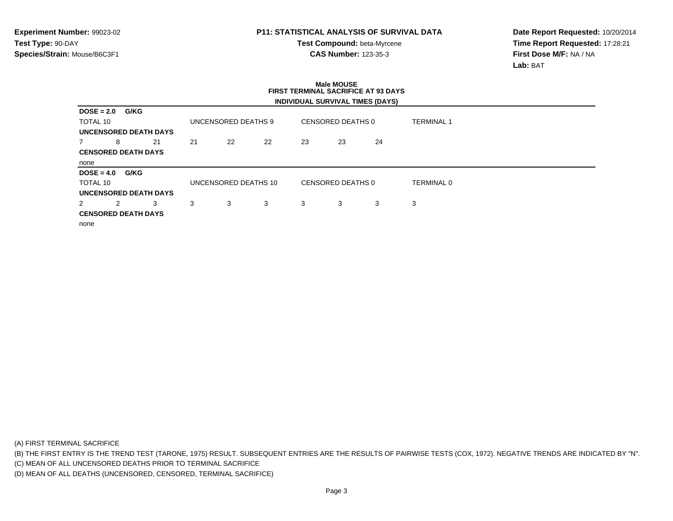**Test Compound:** beta-Myrcene**CAS Number:** 123-35-3

**Date Report Requested:** 10/20/2014**Time Report Requested:** 17:28:21**First Dose M/F:** NA / NA**Lab:** BAT

### **Male MOUSE FIRST TERMINAL SACRIFICE AT 93 DAYSINDIVIDUAL SURVIVAL TIMES (DAYS)**

| $DOSE = 2.0$                 | G/KG |    |    |                      |    |    |                   |    |                   |  |
|------------------------------|------|----|----|----------------------|----|----|-------------------|----|-------------------|--|
| TOTAL 10                     |      |    |    | UNCENSORED DEATHS 9  |    |    | CENSORED DEATHS 0 |    | <b>TERMINAL 1</b> |  |
| <b>UNCENSORED DEATH DAYS</b> |      |    |    |                      |    |    |                   |    |                   |  |
|                              | 8    | 21 | 21 | 22                   | 22 | 23 | 23                | 24 |                   |  |
| <b>CENSORED DEATH DAYS</b>   |      |    |    |                      |    |    |                   |    |                   |  |
| none                         |      |    |    |                      |    |    |                   |    |                   |  |
| $DOSE = 4.0$                 | G/KG |    |    |                      |    |    |                   |    |                   |  |
| TOTAL 10                     |      |    |    |                      |    |    |                   |    |                   |  |
|                              |      |    |    | UNCENSORED DEATHS 10 |    |    | CENSORED DEATHS 0 |    | TERMINAL 0        |  |
|                              |      |    |    |                      |    |    |                   |    |                   |  |
| UNCENSORED DEATH DAYS<br>2   | 2    | 3  | 3  | 3                    | 3  | 3  | 3                 | 3  | 3                 |  |
| <b>CENSORED DEATH DAYS</b>   |      |    |    |                      |    |    |                   |    |                   |  |
| none                         |      |    |    |                      |    |    |                   |    |                   |  |

(A) FIRST TERMINAL SACRIFICE

(B) THE FIRST ENTRY IS THE TREND TEST (TARONE, 1975) RESULT. SUBSEQUENT ENTRIES ARE THE RESULTS OF PAIRWISE TESTS (COX, 1972). NEGATIVE TRENDS ARE INDICATED BY "N".

(C) MEAN OF ALL UNCENSORED DEATHS PRIOR TO TERMINAL SACRIFICE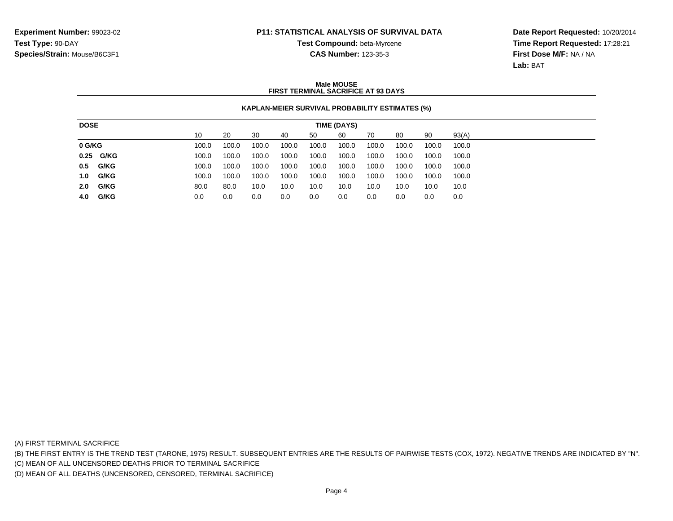**Test Compound:** beta-Myrcene**CAS Number:** 123-35-3

**Date Report Requested:** 10/20/2014**Time Report Requested:** 17:28:21**First Dose M/F:** NA / NA**Lab:** BAT

### **Male MOUSEFIRST TERMINAL SACRIFICE AT 93 DAYS**

### **KAPLAN-MEIER SURVIVAL PROBABILITY ESTIMATES (%)**

| <b>DOSE</b> |           | TIME (DAYS) |       |       |       |       |       |       |       |       |       |
|-------------|-----------|-------------|-------|-------|-------|-------|-------|-------|-------|-------|-------|
|             |           | 10          | 20    | -30   | -40   | 50    | 60    | 70    | 80    | 90    | 93(A) |
| 0 G/KG      |           | 100.0       | 100.0 | 100.0 | 100.0 | 100.0 | 100.0 | 100.0 | 100.0 | 100.0 | 100.0 |
|             | 0.25 G/KG | 100.0       | 100.0 | 100.0 | 100.0 | 100.0 | 100.0 | 100.0 | 100.0 | 100.0 | 100.0 |
| 0.5 G/KG    |           | 100.0       | 100.0 | 100.0 | 100.0 | 100.0 | 100.0 | 100.0 | 100.0 | 100.0 | 100.0 |
| 1.0 G/KG    |           | 100.0       | 100.0 | 100.0 | 100.0 | 100.0 | 100.0 | 100.0 | 100.0 | 100.0 | 100.0 |
| 2.0 G/KG    |           | 80.0        | 80.0  | 10.0  | 10.0  | 10.0  | 10.0  | 10.0  | 10.0  | 10.0  | 10.0  |
| 4.0 G/KG    |           | 0.0         | 0.0   | 0.0   | 0.0   | 0.0   | 0.0   | 0.0   | 0.0   | 0.0   | 0.0   |

(A) FIRST TERMINAL SACRIFICE

(B) THE FIRST ENTRY IS THE TREND TEST (TARONE, 1975) RESULT. SUBSEQUENT ENTRIES ARE THE RESULTS OF PAIRWISE TESTS (COX, 1972). NEGATIVE TRENDS ARE INDICATED BY "N".

(C) MEAN OF ALL UNCENSORED DEATHS PRIOR TO TERMINAL SACRIFICE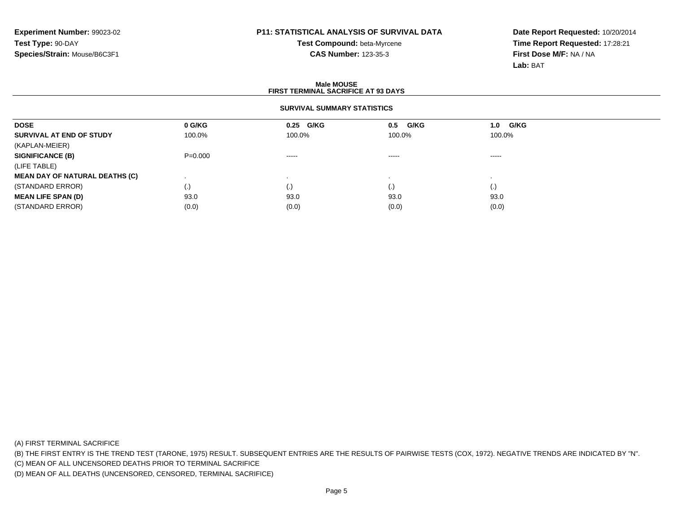# **Test Compound:** beta-Myrcene**CAS Number:** 123-35-3

**Date Report Requested:** 10/20/2014**Time Report Requested:** 17:28:21**First Dose M/F:** NA / NA**Lab:** BAT

### **Male MOUSEFIRST TERMINAL SACRIFICE AT 93 DAYS**

### **SURVIVAL SUMMARY STATISTICS**

| <b>DOSE</b>                           | 0 G/KG      | 0.25 G/KG   | G/KG<br>0.5        | <b>G/KG</b><br>1.0 |  |
|---------------------------------------|-------------|-------------|--------------------|--------------------|--|
| SURVIVAL AT END OF STUDY              | 100.0%      | 100.0%      | 100.0%             | 100.0%             |  |
| (KAPLAN-MEIER)                        |             |             |                    |                    |  |
| <b>SIGNIFICANCE (B)</b>               | $P = 0.000$ | $- - - - -$ | $\cdots$           | $\cdots$           |  |
| (LIFE TABLE)                          |             |             |                    |                    |  |
| <b>MEAN DAY OF NATURAL DEATHS (C)</b> |             |             |                    |                    |  |
| (STANDARD ERROR)                      | (.)         | ( • )       | $\left( . \right)$ | $\left( . \right)$ |  |
| <b>MEAN LIFE SPAN (D)</b>             | 93.0        | 93.0        | 93.0               | 93.0               |  |
| (STANDARD ERROR)                      | (0.0)       | (0.0)       | (0.0)              | (0.0)              |  |

(A) FIRST TERMINAL SACRIFICE

(B) THE FIRST ENTRY IS THE TREND TEST (TARONE, 1975) RESULT. SUBSEQUENT ENTRIES ARE THE RESULTS OF PAIRWISE TESTS (COX, 1972). NEGATIVE TRENDS ARE INDICATED BY "N".

(C) MEAN OF ALL UNCENSORED DEATHS PRIOR TO TERMINAL SACRIFICE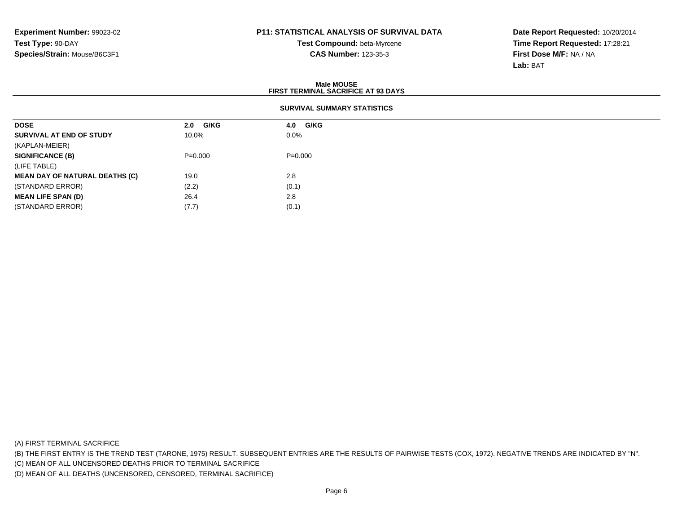**Test Compound:** beta-Myrcene**CAS Number:** 123-35-3

**Date Report Requested:** 10/20/2014**Time Report Requested:** 17:28:21**First Dose M/F:** NA / NA**Lab:** BAT

| <b>Male MOUSE</b><br><b>FIRST TERMINAL SACRIFICE AT 93 DAYS</b> |                    |             |  |  |  |  |
|-----------------------------------------------------------------|--------------------|-------------|--|--|--|--|
| <b>SURVIVAL SUMMARY STATISTICS</b>                              |                    |             |  |  |  |  |
| <b>DOSE</b>                                                     | <b>G/KG</b><br>2.0 | G/KG<br>4.0 |  |  |  |  |
| SURVIVAL AT END OF STUDY                                        | 10.0%              | $0.0\%$     |  |  |  |  |
| (KAPLAN-MEIER)                                                  |                    |             |  |  |  |  |
| <b>SIGNIFICANCE (B)</b>                                         | $P=0.000$          | $P=0.000$   |  |  |  |  |
| (LIFE TABLE)                                                    |                    |             |  |  |  |  |
| <b>MEAN DAY OF NATURAL DEATHS (C)</b>                           | 19.0               | 2.8         |  |  |  |  |
| (STANDARD ERROR)                                                | (2.2)              | (0.1)       |  |  |  |  |
| <b>MEAN LIFE SPAN (D)</b>                                       | 26.4               | 2.8         |  |  |  |  |
| (STANDARD ERROR)                                                | (7.7)              | (0.1)       |  |  |  |  |

(A) FIRST TERMINAL SACRIFICE

(B) THE FIRST ENTRY IS THE TREND TEST (TARONE, 1975) RESULT. SUBSEQUENT ENTRIES ARE THE RESULTS OF PAIRWISE TESTS (COX, 1972). NEGATIVE TRENDS ARE INDICATED BY "N".

(C) MEAN OF ALL UNCENSORED DEATHS PRIOR TO TERMINAL SACRIFICE

(D) MEAN OF ALL DEATHS (UNCENSORED, CENSORED, TERMINAL SACRIFICE)

 $(7.7)$  (0.1)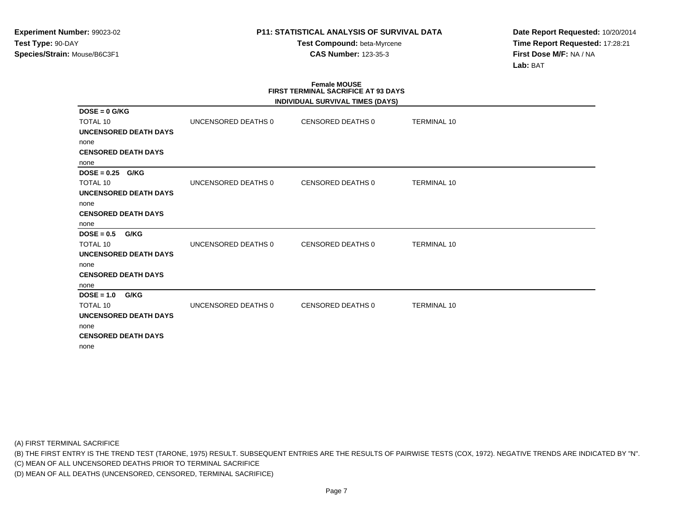**Test Compound:** beta-Myrcene**CAS Number:** 123-35-3

**Date Report Requested:** 10/20/2014**Time Report Requested:** 17:28:21**First Dose M/F:** NA / NA**Lab:** BAT

# **Female MOUSE FIRST TERMINAL SACRIFICE AT 93 DAYS**

|                              |                     | INDIVIDUAL SURVIVAL TIMES (DAYS) |                    |  |
|------------------------------|---------------------|----------------------------------|--------------------|--|
| $DOSE = 0$ G/KG              |                     |                                  |                    |  |
| <b>TOTAL 10</b>              | UNCENSORED DEATHS 0 | CENSORED DEATHS 0                | <b>TERMINAL 10</b> |  |
| UNCENSORED DEATH DAYS        |                     |                                  |                    |  |
| none                         |                     |                                  |                    |  |
| <b>CENSORED DEATH DAYS</b>   |                     |                                  |                    |  |
| none                         |                     |                                  |                    |  |
| $DOSE = 0.25$ G/KG           |                     |                                  |                    |  |
| <b>TOTAL 10</b>              | UNCENSORED DEATHS 0 | CENSORED DEATHS 0                | <b>TERMINAL 10</b> |  |
| <b>UNCENSORED DEATH DAYS</b> |                     |                                  |                    |  |
| none                         |                     |                                  |                    |  |
| <b>CENSORED DEATH DAYS</b>   |                     |                                  |                    |  |
| none                         |                     |                                  |                    |  |
| $DOSE = 0.5$<br><b>G/KG</b>  |                     |                                  |                    |  |
| <b>TOTAL 10</b>              | UNCENSORED DEATHS 0 | CENSORED DEATHS 0                | <b>TERMINAL 10</b> |  |
| <b>UNCENSORED DEATH DAYS</b> |                     |                                  |                    |  |
| none                         |                     |                                  |                    |  |
| <b>CENSORED DEATH DAYS</b>   |                     |                                  |                    |  |
| none                         |                     |                                  |                    |  |
| $DOSE = 1.0$<br>G/KG         |                     |                                  |                    |  |
| <b>TOTAL 10</b>              | UNCENSORED DEATHS 0 | CENSORED DEATHS 0                | <b>TERMINAL 10</b> |  |
| <b>UNCENSORED DEATH DAYS</b> |                     |                                  |                    |  |
| none                         |                     |                                  |                    |  |
| <b>CENSORED DEATH DAYS</b>   |                     |                                  |                    |  |
| none                         |                     |                                  |                    |  |
|                              |                     |                                  |                    |  |

(A) FIRST TERMINAL SACRIFICE

(B) THE FIRST ENTRY IS THE TREND TEST (TARONE, 1975) RESULT. SUBSEQUENT ENTRIES ARE THE RESULTS OF PAIRWISE TESTS (COX, 1972). NEGATIVE TRENDS ARE INDICATED BY "N".

(C) MEAN OF ALL UNCENSORED DEATHS PRIOR TO TERMINAL SACRIFICE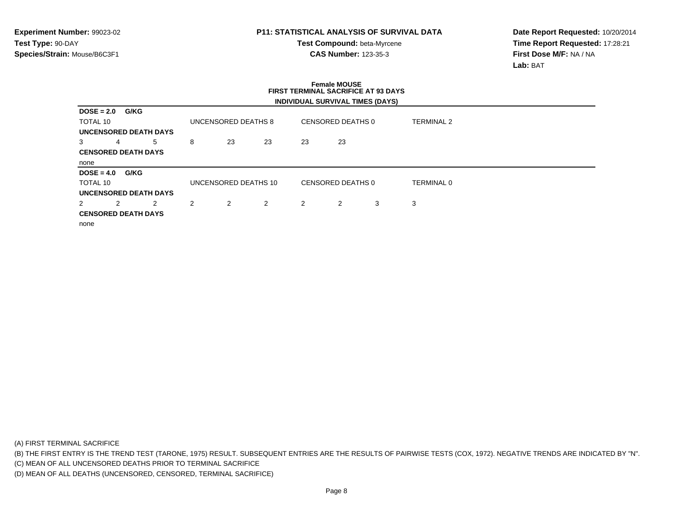**Test Compound:** beta-Myrcene**CAS Number:** 123-35-3

**Date Report Requested:** 10/20/2014**Time Report Requested:** 17:28:21**First Dose M/F:** NA / NA**Lab:** BAT

### **Female MOUSE FIRST TERMINAL SACRIFICE AT 93 DAYSINDIVIDUAL SURVIVAL TIMES (DAYS)**

| $DOSE = 2.0$   |   | G/KG                       |                |                      |                |    |                   |   |                   |  |
|----------------|---|----------------------------|----------------|----------------------|----------------|----|-------------------|---|-------------------|--|
| TOTAL 10       |   |                            |                | UNCENSORED DEATHS 8  |                |    | CENSORED DEATHS 0 |   | <b>TERMINAL 2</b> |  |
|                |   | UNCENSORED DEATH DAYS      |                |                      |                |    |                   |   |                   |  |
| 3              | 4 | 5                          | 8              | 23                   | 23             | 23 | 23                |   |                   |  |
|                |   | <b>CENSORED DEATH DAYS</b> |                |                      |                |    |                   |   |                   |  |
| none           |   |                            |                |                      |                |    |                   |   |                   |  |
| $DOSE = 4.0$   |   | G/KG                       |                |                      |                |    |                   |   |                   |  |
|                |   |                            |                |                      |                |    |                   |   |                   |  |
| TOTAL 10       |   |                            |                | UNCENSORED DEATHS 10 |                |    | CENSORED DEATHS 0 |   | <b>TERMINAL 0</b> |  |
|                |   | UNCENSORED DEATH DAYS      |                |                      |                |    |                   |   |                   |  |
| $\overline{2}$ | 2 | 2                          | $\overline{2}$ | 2                    | $\overline{2}$ | 2  | 2                 | 3 | 3                 |  |
|                |   | <b>CENSORED DEATH DAYS</b> |                |                      |                |    |                   |   |                   |  |
| none           |   |                            |                |                      |                |    |                   |   |                   |  |

(A) FIRST TERMINAL SACRIFICE

(B) THE FIRST ENTRY IS THE TREND TEST (TARONE, 1975) RESULT. SUBSEQUENT ENTRIES ARE THE RESULTS OF PAIRWISE TESTS (COX, 1972). NEGATIVE TRENDS ARE INDICATED BY "N".

(C) MEAN OF ALL UNCENSORED DEATHS PRIOR TO TERMINAL SACRIFICE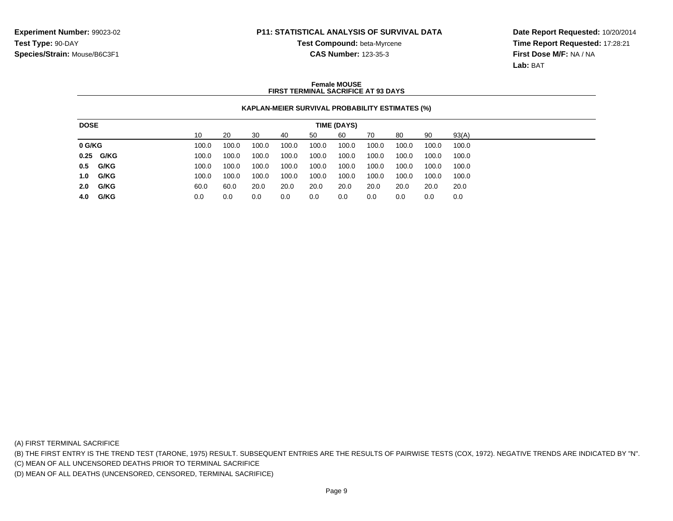**Test Compound:** beta-Myrcene

**Date Report Requested:** 10/20/2014**Time Report Requested:** 17:28:21**First Dose M/F:** NA / NA**Lab:** BAT

# **CAS Number:** 123-35-3

### **Female MOUSEFIRST TERMINAL SACRIFICE AT 93 DAYS**

### **KAPLAN-MEIER SURVIVAL PROBABILITY ESTIMATES (%)**

| <b>DOSE</b><br>TIME (DAYS)                                                                   |       |  |  |  |  |  |  |  |  |
|----------------------------------------------------------------------------------------------|-------|--|--|--|--|--|--|--|--|
| 90<br>10<br>20<br>60<br>30<br>80<br>50<br>70<br>40                                           | 93(A) |  |  |  |  |  |  |  |  |
| 0 G/KG<br>100.0<br>100.0<br>100.0<br>100.0<br>100.0<br>100.0<br>100.0<br>100.0<br>100.0      | 100.0 |  |  |  |  |  |  |  |  |
| 0.25 G/KG<br>100.0<br>100.0<br>100.0<br>100.0<br>100.0<br>100.0<br>100.0<br>100.0<br>100.0   | 100.0 |  |  |  |  |  |  |  |  |
| 0.5 G/KG<br>100.0<br>100.0<br>100.0<br>100.0<br>100.0<br>100.0<br>100.0<br>100.0<br>100.0    | 100.0 |  |  |  |  |  |  |  |  |
| G/KG<br>1.0<br>100.0<br>100.0<br>100.0<br>100.0<br>100.0<br>100.0<br>100.0<br>100.0<br>100.0 | 100.0 |  |  |  |  |  |  |  |  |
| 2.0<br>G/KG<br>20.0<br>20.0<br>20.0<br>20.0<br>20.0<br>60.0<br>60.0<br>20.0<br>20.0          | 20.0  |  |  |  |  |  |  |  |  |
| 4.0 G/KG<br>0.0<br>0.0<br>0.0<br>0.0<br>0.0<br>0.0<br>0.0<br>0.0<br>0.0                      | 0.0   |  |  |  |  |  |  |  |  |

(A) FIRST TERMINAL SACRIFICE

(B) THE FIRST ENTRY IS THE TREND TEST (TARONE, 1975) RESULT. SUBSEQUENT ENTRIES ARE THE RESULTS OF PAIRWISE TESTS (COX, 1972). NEGATIVE TRENDS ARE INDICATED BY "N".

(C) MEAN OF ALL UNCENSORED DEATHS PRIOR TO TERMINAL SACRIFICE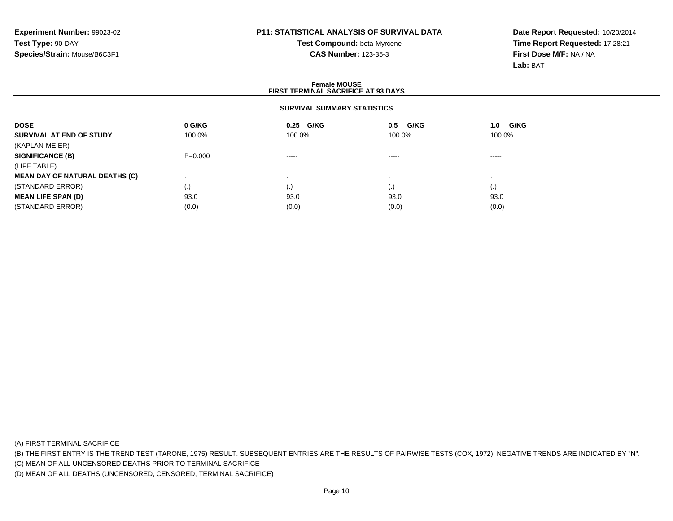**Test Compound:** beta-Myrcene**CAS Number:** 123-35-3

**Date Report Requested:** 10/20/2014**Time Report Requested:** 17:28:21**First Dose M/F:** NA / NA**Lab:** BAT

### **Female MOUSEFIRST TERMINAL SACRIFICE AT 93 DAYS**

### **SURVIVAL SUMMARY STATISTICS**

| <b>DOSE</b>                           | 0 G/KG      | 0.25 G/KG   | G/KG<br>0.5 | G/KG<br>1.0 |  |
|---------------------------------------|-------------|-------------|-------------|-------------|--|
| SURVIVAL AT END OF STUDY              | 100.0%      | 100.0%      | 100.0%      | 100.0%      |  |
| (KAPLAN-MEIER)                        |             |             |             |             |  |
| <b>SIGNIFICANCE (B)</b>               | $P = 0.000$ | $- - - - -$ | $\cdots$    | $\cdots$    |  |
| (LIFE TABLE)                          |             |             |             |             |  |
| <b>MEAN DAY OF NATURAL DEATHS (C)</b> |             |             |             |             |  |
| (STANDARD ERROR)                      | (.)         |             | $\cdot$     | (.)         |  |
| <b>MEAN LIFE SPAN (D)</b>             | 93.0        | 93.0        | 93.0        | 93.0        |  |
| (STANDARD ERROR)                      | (0.0)       | (0.0)       | (0.0)       | (0.0)       |  |

(A) FIRST TERMINAL SACRIFICE

(B) THE FIRST ENTRY IS THE TREND TEST (TARONE, 1975) RESULT. SUBSEQUENT ENTRIES ARE THE RESULTS OF PAIRWISE TESTS (COX, 1972). NEGATIVE TRENDS ARE INDICATED BY "N".

(C) MEAN OF ALL UNCENSORED DEATHS PRIOR TO TERMINAL SACRIFICE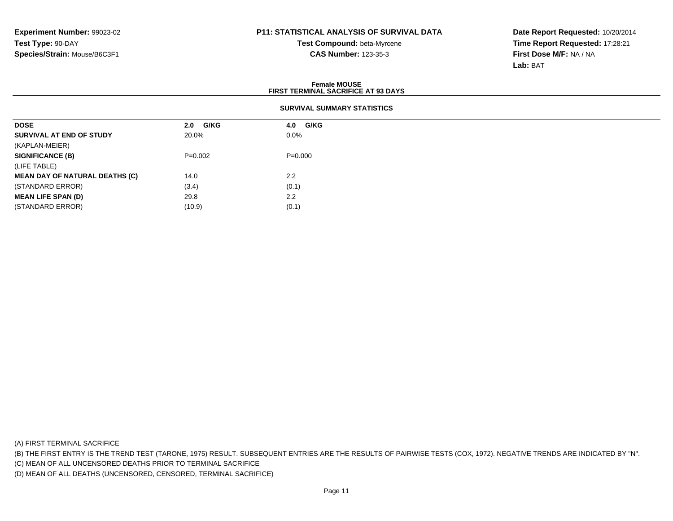**Test Compound:** beta-Myrcene**CAS Number:** 123-35-3

**Date Report Requested:** 10/20/2014**Time Report Requested:** 17:28:21**First Dose M/F:** NA / NA**Lab:** BAT

#### **Female MOUSE FIRST TERMINAL SACRIFICE AT 93 DAYSSURVIVAL SUMMARY STATISTICSDOSE 2.0 G/KG 4.0 G/KG SURVIVAL AT END OF STUDY** 20.0% $\%$  0.0% (KAPLAN-MEIER)**SIGNIFICANCE (B)** P=0.002 P=0.000 (LIFE TABLE) **MEAN DAY OF NATURAL DEATHS (C)** 14.0 $0 \t 2.2$ (STANDARD ERROR) $(3.4)$   $(0.1)$ **MEAN LIFE SPAN (D)** $29.8$  2.2 (STANDARD ERROR)

(A) FIRST TERMINAL SACRIFICE

(B) THE FIRST ENTRY IS THE TREND TEST (TARONE, 1975) RESULT. SUBSEQUENT ENTRIES ARE THE RESULTS OF PAIRWISE TESTS (COX, 1972). NEGATIVE TRENDS ARE INDICATED BY "N".

(C) MEAN OF ALL UNCENSORED DEATHS PRIOR TO TERMINAL SACRIFICE

(D) MEAN OF ALL DEATHS (UNCENSORED, CENSORED, TERMINAL SACRIFICE)

 $(10.9)$   $(0.1)$